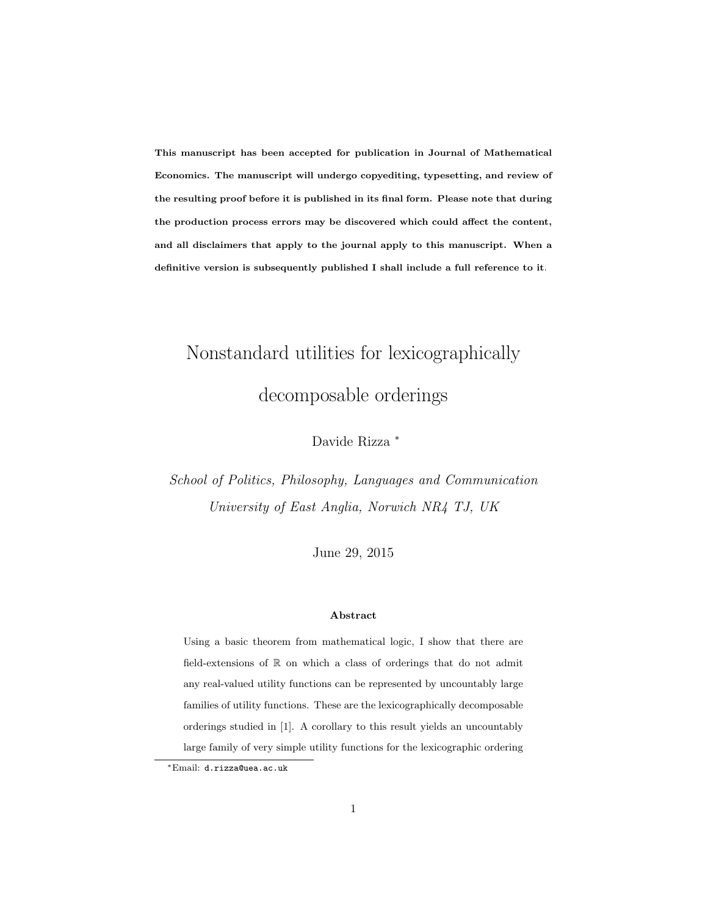This manuscript has been accepted for publication in Journal of Mathematical Economics. The manuscript will undergo copyediting, typesetting, and review of the resulting proof before it is published in its final form. Please note that during the production process errors may be discovered which could affect the content, and all disclaimers that apply to the journal apply to this manuscript. When a definitive version is subsequently published I shall include a full reference to it.

# Nonstandard utilities for lexicographically decomposable orderings

Davide Rizza <sup>∗</sup>

School of Politics, Philosophy, Languages and Communication University of East Anglia, Norwich NR4 TJ, UK

June 29, 2015

#### Abstract

Using a basic theorem from mathematical logic, I show that there are field-extensions of R on which a class of orderings that do not admit any real-valued utility functions can be represented by uncountably large families of utility functions. These are the lexicographically decomposable orderings studied in [1]. A corollary to this result yields an uncountably large family of very simple utility functions for the lexicographic ordering

<sup>∗</sup>Email: d.rizza@uea.ac.uk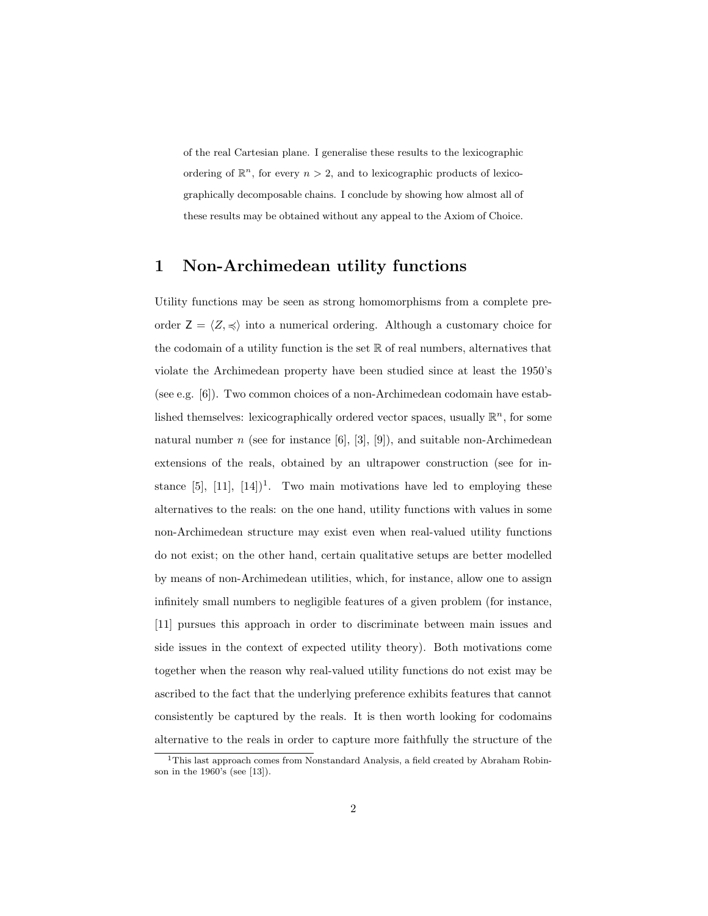of the real Cartesian plane. I generalise these results to the lexicographic ordering of  $\mathbb{R}^n$ , for every  $n > 2$ , and to lexicographic products of lexicographically decomposable chains. I conclude by showing how almost all of these results may be obtained without any appeal to the Axiom of Choice.

## 1 Non-Archimedean utility functions

Utility functions may be seen as strong homomorphisms from a complete preorder  $Z = \langle Z, \preccurlyeq \rangle$  into a numerical ordering. Although a customary choice for the codomain of a utility function is the set  $\mathbb R$  of real numbers, alternatives that violate the Archimedean property have been studied since at least the 1950's (see e.g. [6]). Two common choices of a non-Archimedean codomain have established themselves: lexicographically ordered vector spaces, usually  $\mathbb{R}^n$ , for some natural number  $n$  (see for instance [6], [3], [9]), and suitable non-Archimedean extensions of the reals, obtained by an ultrapower construction (see for instance [5],  $[11]$ ,  $[14]$ <sup>1</sup>. Two main motivations have led to employing these alternatives to the reals: on the one hand, utility functions with values in some non-Archimedean structure may exist even when real-valued utility functions do not exist; on the other hand, certain qualitative setups are better modelled by means of non-Archimedean utilities, which, for instance, allow one to assign infinitely small numbers to negligible features of a given problem (for instance, [11] pursues this approach in order to discriminate between main issues and side issues in the context of expected utility theory). Both motivations come together when the reason why real-valued utility functions do not exist may be ascribed to the fact that the underlying preference exhibits features that cannot consistently be captured by the reals. It is then worth looking for codomains alternative to the reals in order to capture more faithfully the structure of the

<sup>&</sup>lt;sup>1</sup>This last approach comes from Nonstandard Analysis, a field created by Abraham Robinson in the 1960's (see [13]).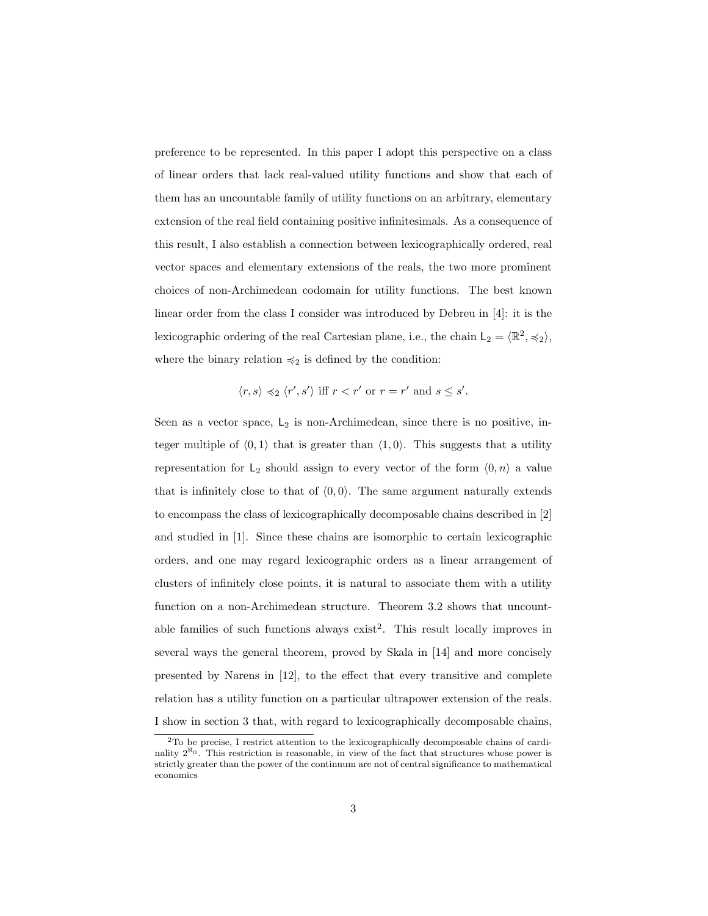preference to be represented. In this paper I adopt this perspective on a class of linear orders that lack real-valued utility functions and show that each of them has an uncountable family of utility functions on an arbitrary, elementary extension of the real field containing positive infinitesimals. As a consequence of this result, I also establish a connection between lexicographically ordered, real vector spaces and elementary extensions of the reals, the two more prominent choices of non-Archimedean codomain for utility functions. The best known linear order from the class I consider was introduced by Debreu in [4]: it is the lexicographic ordering of the real Cartesian plane, i.e., the chain  $L_2 = \langle \mathbb{R}^2, \preccurlyeq_2 \rangle$ , where the binary relation  $\preccurlyeq_2$  is defined by the condition:

$$
\langle r, s \rangle \preccurlyeq_2 \langle r', s' \rangle \text{ iff } r < r' \text{ or } r = r' \text{ and } s \leq s'.
$$

Seen as a vector space,  $L_2$  is non-Archimedean, since there is no positive, integer multiple of  $(0, 1)$  that is greater than  $(1, 0)$ . This suggests that a utility representation for  $L_2$  should assign to every vector of the form  $\langle 0, n \rangle$  a value that is infinitely close to that of  $(0, 0)$ . The same argument naturally extends to encompass the class of lexicographically decomposable chains described in [2] and studied in [1]. Since these chains are isomorphic to certain lexicographic orders, and one may regard lexicographic orders as a linear arrangement of clusters of infinitely close points, it is natural to associate them with a utility function on a non-Archimedean structure. Theorem 3.2 shows that uncountable families of such functions always  $exist^2$ . This result locally improves in several ways the general theorem, proved by Skala in [14] and more concisely presented by Narens in [12], to the effect that every transitive and complete relation has a utility function on a particular ultrapower extension of the reals. I show in section 3 that, with regard to lexicographically decomposable chains,

<sup>2</sup>To be precise, I restrict attention to the lexicographically decomposable chains of cardinality  $2^{N_0}$ . This restriction is reasonable, in view of the fact that structures whose power is strictly greater than the power of the continuum are not of central significance to mathematical economics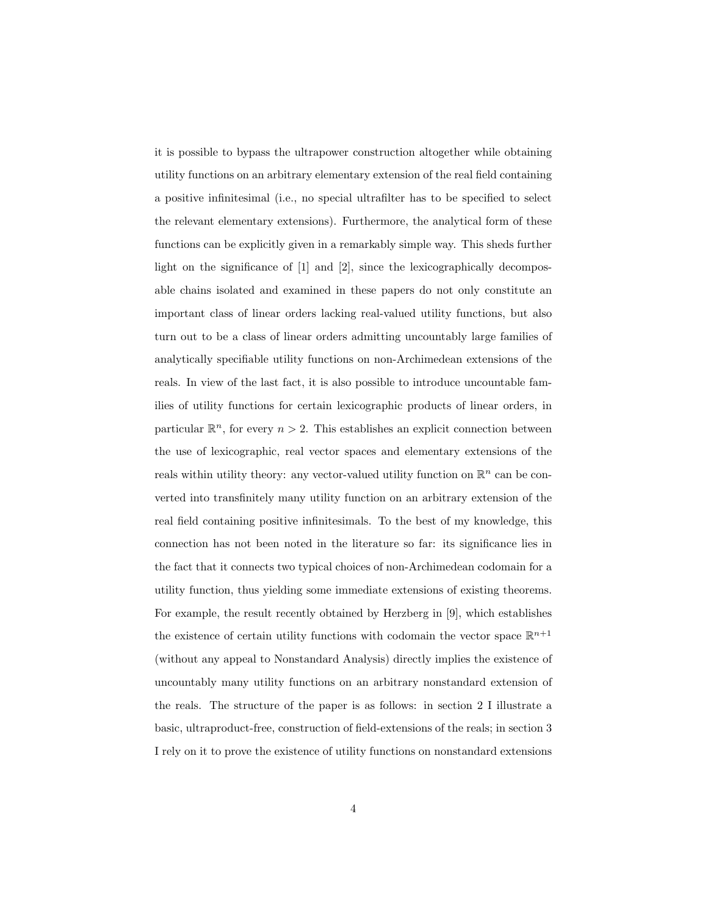it is possible to bypass the ultrapower construction altogether while obtaining utility functions on an arbitrary elementary extension of the real field containing a positive infinitesimal (i.e., no special ultrafilter has to be specified to select the relevant elementary extensions). Furthermore, the analytical form of these functions can be explicitly given in a remarkably simple way. This sheds further light on the significance of [1] and [2], since the lexicographically decomposable chains isolated and examined in these papers do not only constitute an important class of linear orders lacking real-valued utility functions, but also turn out to be a class of linear orders admitting uncountably large families of analytically specifiable utility functions on non-Archimedean extensions of the reals. In view of the last fact, it is also possible to introduce uncountable families of utility functions for certain lexicographic products of linear orders, in particular  $\mathbb{R}^n$ , for every  $n > 2$ . This establishes an explicit connection between the use of lexicographic, real vector spaces and elementary extensions of the reals within utility theory: any vector-valued utility function on  $\mathbb{R}^n$  can be converted into transfinitely many utility function on an arbitrary extension of the real field containing positive infinitesimals. To the best of my knowledge, this connection has not been noted in the literature so far: its significance lies in the fact that it connects two typical choices of non-Archimedean codomain for a utility function, thus yielding some immediate extensions of existing theorems. For example, the result recently obtained by Herzberg in [9], which establishes the existence of certain utility functions with codomain the vector space  $\mathbb{R}^{n+1}$ (without any appeal to Nonstandard Analysis) directly implies the existence of uncountably many utility functions on an arbitrary nonstandard extension of the reals. The structure of the paper is as follows: in section 2 I illustrate a basic, ultraproduct-free, construction of field-extensions of the reals; in section 3 I rely on it to prove the existence of utility functions on nonstandard extensions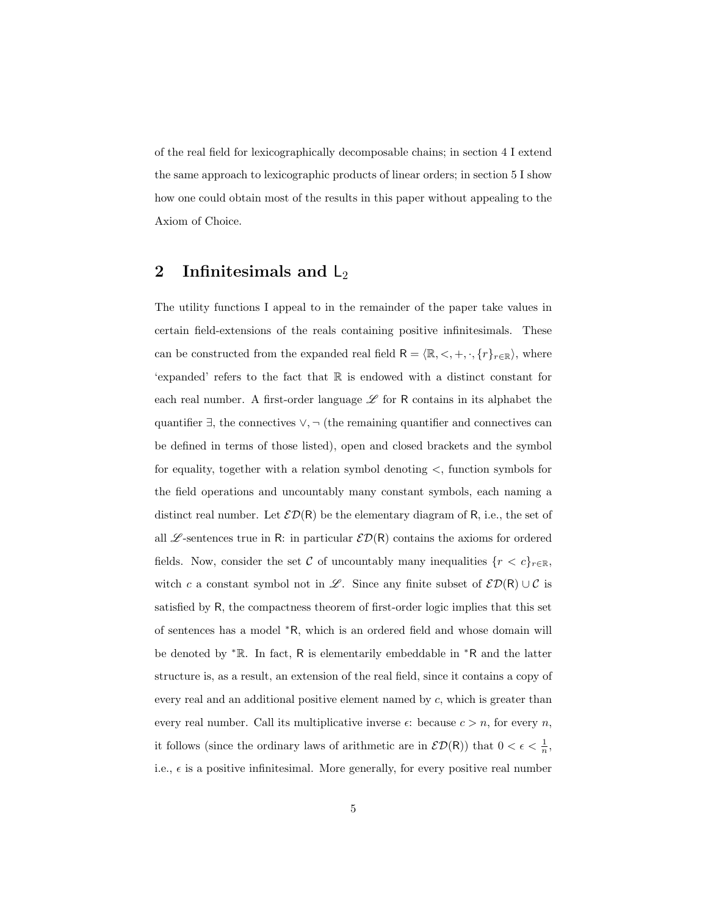of the real field for lexicographically decomposable chains; in section 4 I extend the same approach to lexicographic products of linear orders; in section 5 I show how one could obtain most of the results in this paper without appealing to the Axiom of Choice.

#### 2 Infinitesimals and  $L_2$

The utility functions I appeal to in the remainder of the paper take values in certain field-extensions of the reals containing positive infinitesimals. These can be constructed from the expanded real field  $\mathsf{R} = \langle \mathbb{R}, \langle , +, \cdot, \{r\}_{r \in \mathbb{R}} \rangle$ , where 'expanded' refers to the fact that R is endowed with a distinct constant for each real number. A first-order language  $\mathscr L$  for R contains in its alphabet the quantifier  $\exists$ , the connectives  $\vee$ ,  $\neg$  (the remaining quantifier and connectives can be defined in terms of those listed), open and closed brackets and the symbol for equality, together with a relation symbol denoting <, function symbols for the field operations and uncountably many constant symbols, each naming a distinct real number. Let  $\mathcal{ED}(R)$  be the elementary diagram of R, i.e., the set of all  $\mathscr{L}$ -sentences true in R: in particular  $\mathscr{ED}(R)$  contains the axioms for ordered fields. Now, consider the set C of uncountably many inequalities  $\{r < c\}_{r \in \mathbb{R}}$ , witch c a constant symbol not in L. Since any finite subset of  $\mathcal{ED}(R) \cup \mathcal{C}$  is satisfied by R, the compactness theorem of first-order logic implies that this set of sentences has a model <sup>∗</sup>R, which is an ordered field and whose domain will be denoted by <sup>∗</sup>R. In fact, R is elementarily embeddable in <sup>∗</sup>R and the latter structure is, as a result, an extension of the real field, since it contains a copy of every real and an additional positive element named by c, which is greater than every real number. Call its multiplicative inverse  $\epsilon$ : because  $c > n$ , for every n, it follows (since the ordinary laws of arithmetic are in  $\mathcal{ED}(R)$ ) that  $0 < \epsilon < \frac{1}{n}$ , i.e.,  $\epsilon$  is a positive infinitesimal. More generally, for every positive real number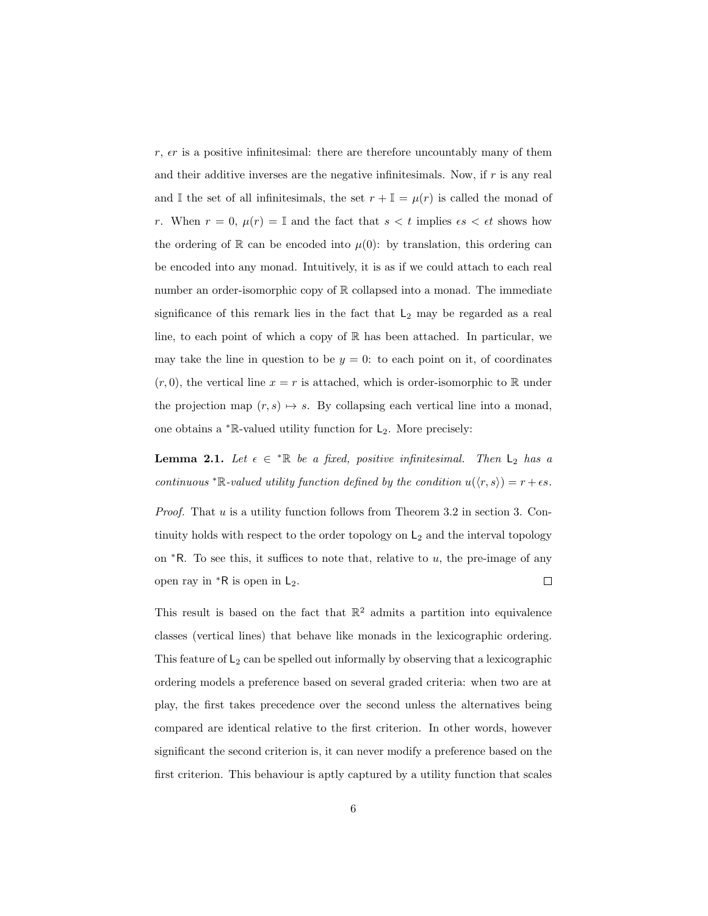$r, \epsilon r$  is a positive infinitesimal: there are therefore uncountably many of them and their additive inverses are the negative infinitesimals. Now, if  $r$  is any real and I the set of all infinitesimals, the set  $r + I = \mu(r)$  is called the monad of r. When  $r = 0$ ,  $\mu(r) = \mathbb{I}$  and the fact that  $s < t$  implies  $\epsilon s < \epsilon t$  shows how the ordering of R can be encoded into  $\mu(0)$ : by translation, this ordering can be encoded into any monad. Intuitively, it is as if we could attach to each real number an order-isomorphic copy of R collapsed into a monad. The immediate significance of this remark lies in the fact that  $L_2$  may be regarded as a real line, to each point of which a copy of R has been attached. In particular, we may take the line in question to be  $y = 0$ : to each point on it, of coordinates  $(r, 0)$ , the vertical line  $x = r$  is attached, which is order-isomorphic to R under the projection map  $(r, s) \mapsto s$ . By collapsing each vertical line into a monad, one obtains a  $*$ R-valued utility function for  $L_2$ . More precisely:

**Lemma 2.1.** Let  $\epsilon \in \mathbb{R}$  be a fixed, positive infinitesimal. Then  $L_2$  has a continuous \* $\mathbb{R}\text{-}valued$  utility function defined by the condition  $u(\langle r, s \rangle) = r + \epsilon s$ .

*Proof.* That u is a utility function follows from Theorem 3.2 in section 3. Continuity holds with respect to the order topology on  $L_2$  and the interval topology on  $*R$ . To see this, it suffices to note that, relative to u, the pre-image of any open ray in  $*R$  is open in  $L_2$ .  $\Box$ 

This result is based on the fact that  $\mathbb{R}^2$  admits a partition into equivalence classes (vertical lines) that behave like monads in the lexicographic ordering. This feature of  $\mathsf{L}_2$  can be spelled out informally by observing that a lexicographic ordering models a preference based on several graded criteria: when two are at play, the first takes precedence over the second unless the alternatives being compared are identical relative to the first criterion. In other words, however significant the second criterion is, it can never modify a preference based on the first criterion. This behaviour is aptly captured by a utility function that scales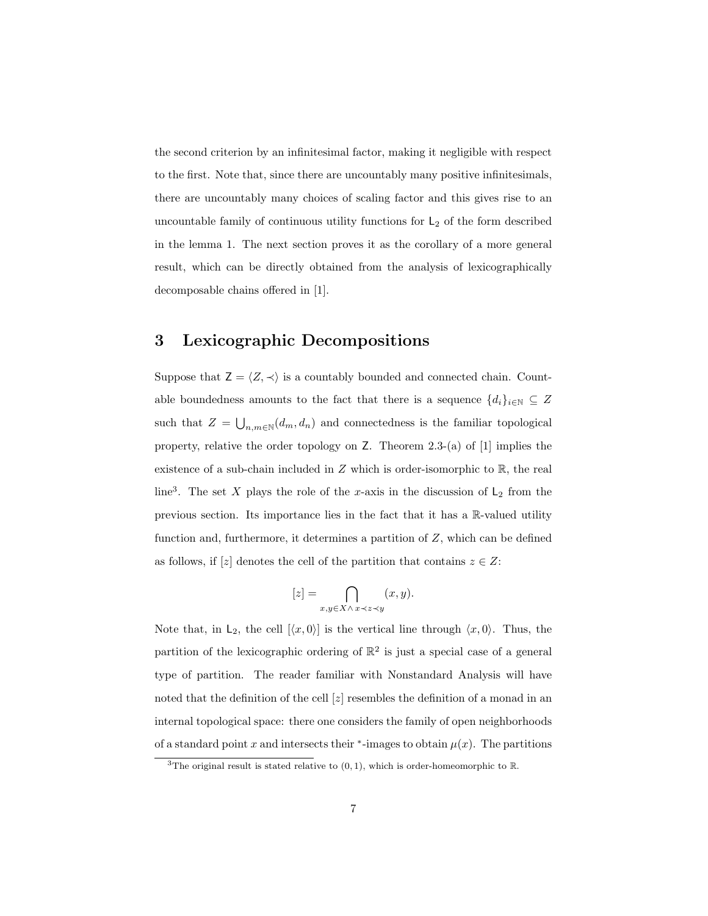the second criterion by an infinitesimal factor, making it negligible with respect to the first. Note that, since there are uncountably many positive infinitesimals, there are uncountably many choices of scaling factor and this gives rise to an uncountable family of continuous utility functions for  $\mathsf{L}_2$  of the form described in the lemma 1. The next section proves it as the corollary of a more general result, which can be directly obtained from the analysis of lexicographically decomposable chains offered in [1].

#### 3 Lexicographic Decompositions

Suppose that  $Z = \langle Z, \prec \rangle$  is a countably bounded and connected chain. Countable boundedness amounts to the fact that there is a sequence  $\{d_i\}_{i\in\mathbb{N}}\subseteq Z$ such that  $Z = \bigcup_{n,m \in \mathbb{N}} (d_m, d_n)$  and connectedness is the familiar topological property, relative the order topology on Z. Theorem 2.3-(a) of [1] implies the existence of a sub-chain included in  $Z$  which is order-isomorphic to  $\mathbb{R}$ , the real line<sup>3</sup>. The set X plays the role of the x-axis in the discussion of  $L_2$  from the previous section. Its importance lies in the fact that it has a R-valued utility function and, furthermore, it determines a partition of  $Z$ , which can be defined as follows, if [z] denotes the cell of the partition that contains  $z \in Z$ :

$$
[z] = \bigcap_{x,y \in X \wedge x \prec z \prec y} (x,y).
$$

Note that, in  $L_2$ , the cell  $[\langle x, 0 \rangle]$  is the vertical line through  $\langle x, 0 \rangle$ . Thus, the partition of the lexicographic ordering of  $\mathbb{R}^2$  is just a special case of a general type of partition. The reader familiar with Nonstandard Analysis will have noted that the definition of the cell  $[z]$  resembles the definition of a monad in an internal topological space: there one considers the family of open neighborhoods of a standard point x and intersects their  $*$ -images to obtain  $\mu(x)$ . The partitions

<sup>&</sup>lt;sup>3</sup>The original result is stated relative to  $(0, 1)$ , which is order-homeomorphic to R.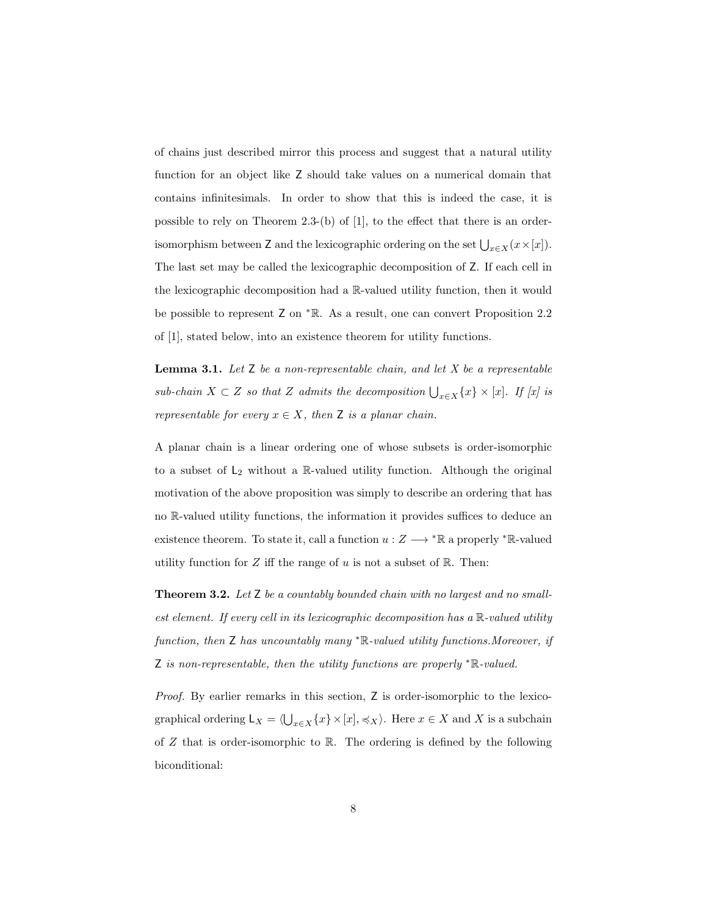of chains just described mirror this process and suggest that a natural utility function for an object like Z should take values on a numerical domain that contains infinitesimals. In order to show that this is indeed the case, it is possible to rely on Theorem 2.3-(b) of [1], to the effect that there is an orderisomorphism between Z and the lexicographic ordering on the set  $\bigcup_{x \in X} (x \times [x])$ . The last set may be called the lexicographic decomposition of Z. If each cell in the lexicographic decomposition had a R-valued utility function, then it would be possible to represent Z on <sup>∗</sup>R. As a result, one can convert Proposition 2.2 of [1], stated below, into an existence theorem for utility functions.

**Lemma 3.1.** Let  $Z$  be a non-representable chain, and let  $X$  be a representable sub-chain  $X \subset Z$  so that Z admits the decomposition  $\bigcup_{x \in X} \{x\} \times [x]$ . If  $[x]$  is representable for every  $x \in X$ , then Z is a planar chain.

A planar chain is a linear ordering one of whose subsets is order-isomorphic to a subset of  $L_2$  without a R-valued utility function. Although the original motivation of the above proposition was simply to describe an ordering that has no R-valued utility functions, the information it provides suffices to deduce an existence theorem. To state it, call a function  $u: Z \longrightarrow {}^* \mathbb{R}$  a properly  ${}^* \mathbb{R}$ -valued utility function for  $Z$  iff the range of  $u$  is not a subset of  $\mathbb{R}$ . Then:

**Theorem 3.2.** Let  $\mathsf{Z}$  be a countably bounded chain with no largest and no smallest element. If every cell in its lexicographic decomposition has a  $\mathbb{R}$ -valued utility function, then Z has uncountably many <sup>∗</sup>R-valued utility functions.Moreover, if Z is non-representable, then the utility functions are properly <sup>∗</sup>R-valued.

Proof. By earlier remarks in this section, Z is order-isomorphic to the lexicographical ordering  $L_X = \langle \bigcup_{x \in X} \{x\} \times [x], \preccurlyeq_X \rangle$ . Here  $x \in X$  and X is a subchain of  $Z$  that is order-isomorphic to  $\mathbb R$ . The ordering is defined by the following biconditional: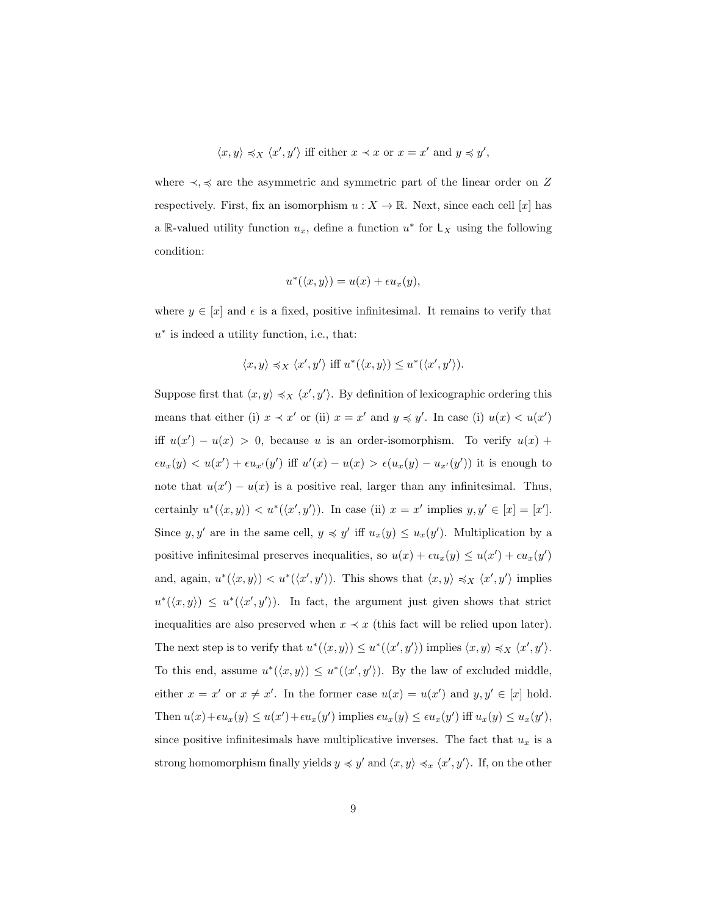$$
\langle x, y \rangle \preccurlyeq_X \langle x', y' \rangle
$$
 iff either  $x \prec x$  or  $x = x'$  and  $y \preccurlyeq y'$ ,

where  $\prec, \prec$  are the asymmetric and symmetric part of the linear order on Z respectively. First, fix an isomorphism  $u : X \to \mathbb{R}$ . Next, since each cell [x] has a R-valued utility function  $u_x$ , define a function  $u^*$  for  $\mathsf{L}_X$  using the following condition:

$$
u^*(\langle x,y\rangle)=u(x)+\epsilon u_x(y),
$$

where  $y \in [x]$  and  $\epsilon$  is a fixed, positive infinitesimal. It remains to verify that u<sup>\*</sup> is indeed a utility function, i.e., that:

$$
\langle x, y \rangle \preccurlyeq_X \langle x', y' \rangle \text{ iff } u^*(\langle x, y \rangle) \leq u^*(\langle x', y' \rangle).
$$

Suppose first that  $\langle x, y \rangle \preccurlyeq_{X} \langle x', y' \rangle$ . By definition of lexicographic ordering this means that either (i)  $x \prec x'$  or (ii)  $x = x'$  and  $y \preccurlyeq y'$ . In case (i)  $u(x) < u(x')$ iff  $u(x') - u(x) > 0$ , because u is an order-isomorphism. To verify  $u(x)$  +  $\epsilon u_x(y) < u(x') + \epsilon u_{x'}(y')$  iff  $u'(x) - u(x) > \epsilon (u_x(y) - u_{x'}(y'))$  it is enough to note that  $u(x') - u(x)$  is a positive real, larger than any infinitesimal. Thus, certainly  $u^*(\langle x, y \rangle) < u^*(\langle x', y' \rangle)$ . In case (ii)  $x = x'$  implies  $y, y' \in [x] = [x']$ . Since  $y, y'$  are in the same cell,  $y \preccurlyeq y'$  iff  $u_x(y) \le u_x(y')$ . Multiplication by a positive infinitesimal preserves inequalities, so  $u(x) + \epsilon u_x(y) \leq u(x') + \epsilon u_x(y')$ and, again,  $u^*(\langle x, y \rangle) < u^*(\langle x', y' \rangle)$ . This shows that  $\langle x, y \rangle \preccurlyeq_X \langle x', y' \rangle$  implies  $u^*(\langle x, y \rangle) \leq u^*(\langle x', y' \rangle)$ . In fact, the argument just given shows that strict inequalities are also preserved when  $x \prec x$  (this fact will be relied upon later). The next step is to verify that  $u^*(\langle x, y \rangle) \leq u^*(\langle x', y' \rangle)$  implies  $\langle x, y \rangle \preccurlyeq_X \langle x', y' \rangle$ . To this end, assume  $u^*(\langle x, y \rangle) \leq u^*(\langle x', y' \rangle)$ . By the law of excluded middle, either  $x = x'$  or  $x \neq x'$ . In the former case  $u(x) = u(x')$  and  $y, y' \in [x]$  hold. Then  $u(x)+\epsilon u_x(y) \le u(x') + \epsilon u_x(y')$  implies  $\epsilon u_x(y) \le \epsilon u_x(y')$  iff  $u_x(y) \le u_x(y')$ , since positive infinitesimals have multiplicative inverses. The fact that  $u_x$  is a strong homomorphism finally yields  $y \preccurlyeq y'$  and  $\langle x, y \rangle \preccurlyeq_x \langle x', y' \rangle$ . If, on the other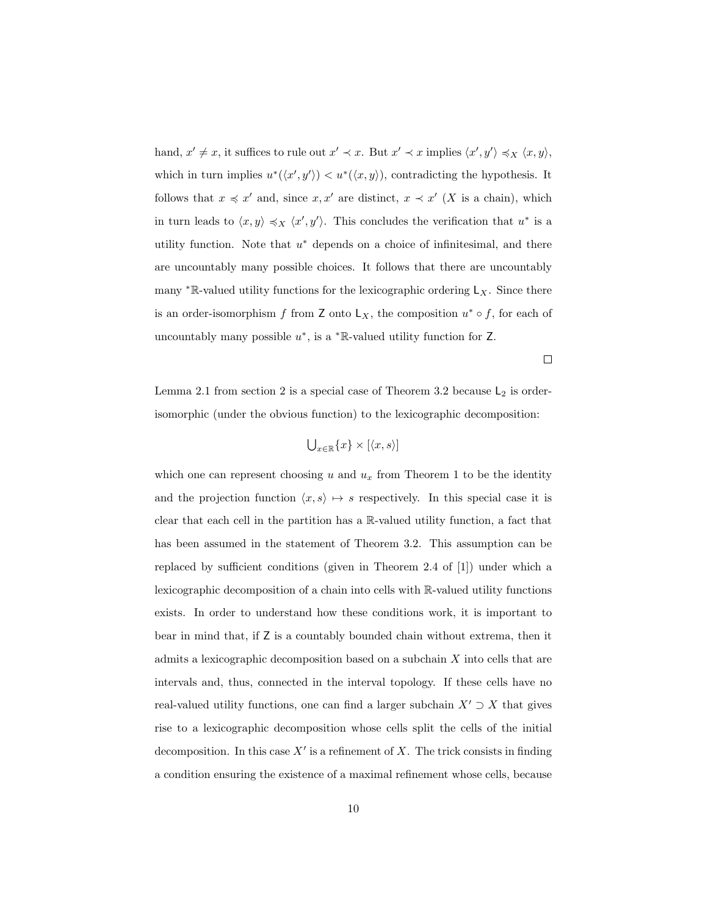hand,  $x' \neq x$ , it suffices to rule out  $x' \prec x$ . But  $x' \prec x$  implies  $\langle x', y' \rangle \preccurlyeq_X \langle x, y \rangle$ , which in turn implies  $u^*(\langle x', y' \rangle) < u^*(\langle x, y \rangle)$ , contradicting the hypothesis. It follows that  $x \preccurlyeq x'$  and, since  $x, x'$  are distinct,  $x \prec x'$  (X is a chain), which in turn leads to  $\langle x, y \rangle \preccurlyeq_{X} \langle x', y' \rangle$ . This concludes the verification that  $u^*$  is a utility function. Note that  $u^*$  depends on a choice of infinitesimal, and there are uncountably many possible choices. It follows that there are uncountably many  $* \mathbb{R}$ -valued utility functions for the lexicographic ordering  $\mathsf{L}_X$ . Since there is an order-isomorphism f from Z onto  $L_X$ , the composition  $u^* \circ f$ , for each of uncountably many possible  $u^*$ , is a  $^*$ R-valued utility function for Z.

 $\Box$ 

Lemma 2.1 from section 2 is a special case of Theorem 3.2 because  $L_2$  is orderisomorphic (under the obvious function) to the lexicographic decomposition:

$$
\bigcup_{x \in \mathbb{R}} \{x\} \times [\langle x, s \rangle]
$$

which one can represent choosing  $u$  and  $u_x$  from Theorem 1 to be the identity and the projection function  $\langle x, s \rangle \mapsto s$  respectively. In this special case it is clear that each cell in the partition has a R-valued utility function, a fact that has been assumed in the statement of Theorem 3.2. This assumption can be replaced by sufficient conditions (given in Theorem 2.4 of [1]) under which a lexicographic decomposition of a chain into cells with R-valued utility functions exists. In order to understand how these conditions work, it is important to bear in mind that, if Z is a countably bounded chain without extrema, then it admits a lexicographic decomposition based on a subchain X into cells that are intervals and, thus, connected in the interval topology. If these cells have no real-valued utility functions, one can find a larger subchain  $X' \supset X$  that gives rise to a lexicographic decomposition whose cells split the cells of the initial decomposition. In this case  $X'$  is a refinement of X. The trick consists in finding a condition ensuring the existence of a maximal refinement whose cells, because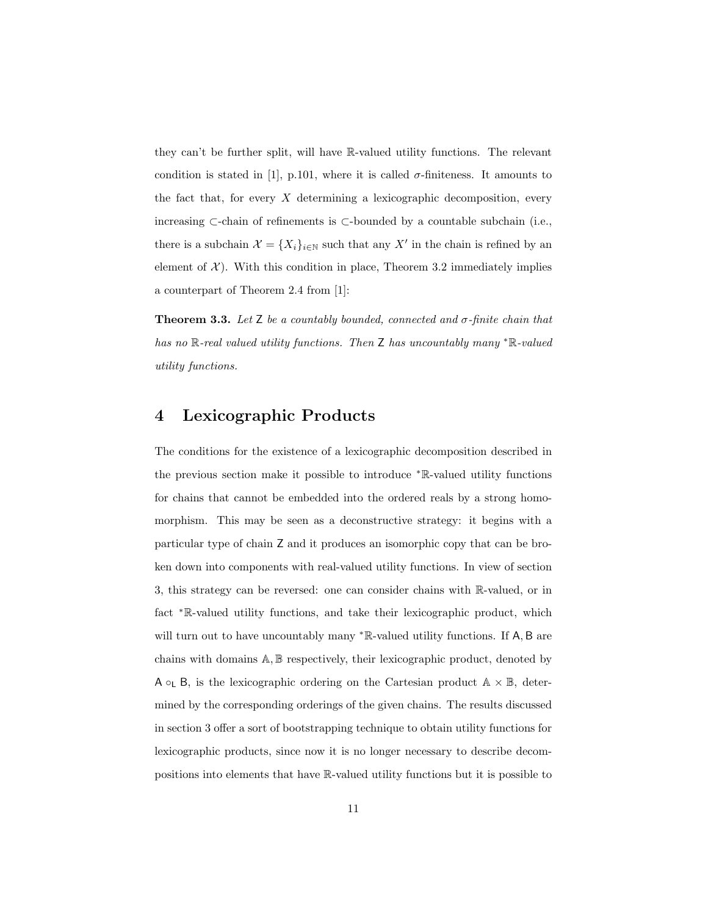they can't be further split, will have R-valued utility functions. The relevant condition is stated in [1], p.101, where it is called  $\sigma$ -finiteness. It amounts to the fact that, for every  $X$  determining a lexicographic decomposition, every increasing ⊂-chain of refinements is ⊂-bounded by a countable subchain (i.e., there is a subchain  $\mathcal{X} = \{X_i\}_{i \in \mathbb{N}}$  such that any X' in the chain is refined by an element of  $\mathcal{X}$ ). With this condition in place, Theorem 3.2 immediately implies a counterpart of Theorem 2.4 from [1]:

**Theorem 3.3.** Let Z be a countably bounded, connected and  $\sigma$ -finite chain that has no R-real valued utility functions. Then Z has uncountably many <sup>∗</sup>R-valued utility functions.

### 4 Lexicographic Products

The conditions for the existence of a lexicographic decomposition described in the previous section make it possible to introduce <sup>∗</sup>R-valued utility functions for chains that cannot be embedded into the ordered reals by a strong homomorphism. This may be seen as a deconstructive strategy: it begins with a particular type of chain Z and it produces an isomorphic copy that can be broken down into components with real-valued utility functions. In view of section 3, this strategy can be reversed: one can consider chains with R-valued, or in fact <sup>∗</sup>R-valued utility functions, and take their lexicographic product, which will turn out to have uncountably many <sup>∗</sup>R-valued utility functions. If A, B are chains with domains A, B respectively, their lexicographic product, denoted by A  $\circ_L$  B, is the lexicographic ordering on the Cartesian product  $A \times B$ , determined by the corresponding orderings of the given chains. The results discussed in section 3 offer a sort of bootstrapping technique to obtain utility functions for lexicographic products, since now it is no longer necessary to describe decompositions into elements that have R-valued utility functions but it is possible to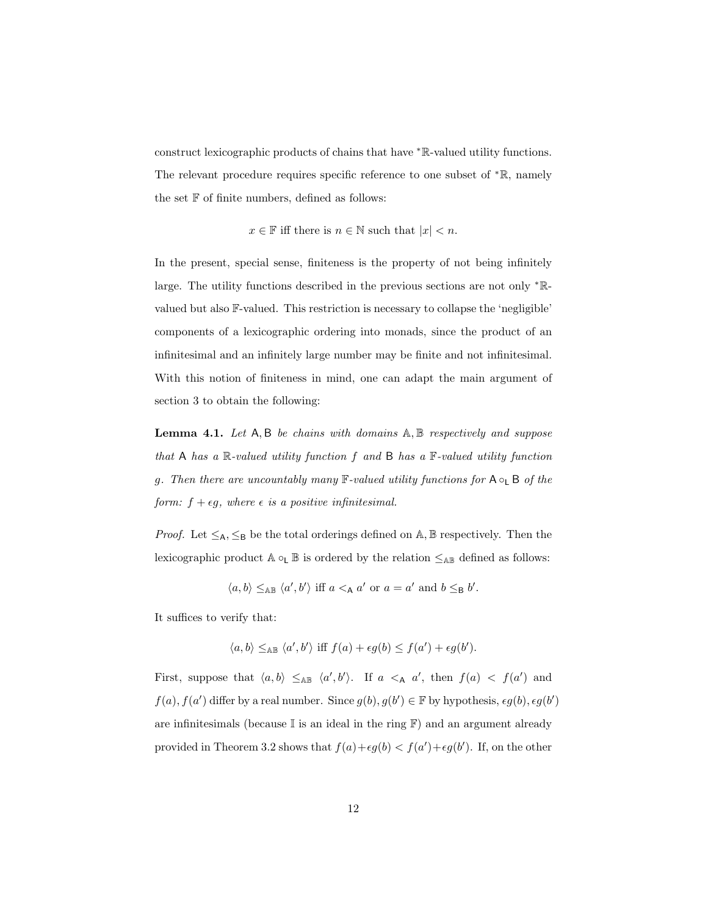construct lexicographic products of chains that have <sup>∗</sup>R-valued utility functions. The relevant procedure requires specific reference to one subset of <sup>∗</sup>R, namely the set  $F$  of finite numbers, defined as follows:

 $x \in \mathbb{F}$  iff there is  $n \in \mathbb{N}$  such that  $|x| < n$ .

In the present, special sense, finiteness is the property of not being infinitely large. The utility functions described in the previous sections are not only <sup>∗</sup>Rvalued but also F-valued. This restriction is necessary to collapse the 'negligible' components of a lexicographic ordering into monads, since the product of an infinitesimal and an infinitely large number may be finite and not infinitesimal. With this notion of finiteness in mind, one can adapt the main argument of section 3 to obtain the following:

**Lemma 4.1.** Let  $A, B$  be chains with domains  $A, B$  respectively and suppose that A has a  $\mathbb R$ -valued utility function f and B has a  $\mathbb F$ -valued utility function g. Then there are uncountably many  $\mathbb{F}\text{-}valued$  utility functions for  $A \circ_{\mathsf{L}} B$  of the form:  $f + \epsilon g$ , where  $\epsilon$  is a positive infinitesimal.

*Proof.* Let  $\leq_A$ ,  $\leq_B$  be the total orderings defined on A, B respectively. Then the lexicographic product  $A \circ_L B$  is ordered by the relation  $\leq_{AB}$  defined as follows:

$$
\langle a, b \rangle \leq_{AB} \langle a', b' \rangle \text{ iff } a <_{A} a' \text{ or } a = a' \text{ and } b \leq_{B} b'.
$$

It suffices to verify that:

$$
\langle a, b \rangle \leq_{AB} \langle a', b' \rangle \text{ iff } f(a) + \epsilon g(b) \leq f(a') + \epsilon g(b').
$$

First, suppose that  $\langle a, b \rangle \leq_{AB} \langle a', b' \rangle$ . If  $a \leq_{A} a'$ , then  $f(a) \leq f(a')$  and  $f(a)$ ,  $f(a')$  differ by a real number. Since  $g(b)$ ,  $g(b') \in \mathbb{F}$  by hypothesis,  $\epsilon g(b)$ ,  $\epsilon g(b')$ are infinitesimals (because  $\mathbb I$  is an ideal in the ring  $\mathbb F)$  and an argument already provided in Theorem 3.2 shows that  $f(a)+\epsilon g(b) < f(a') + \epsilon g(b')$ . If, on the other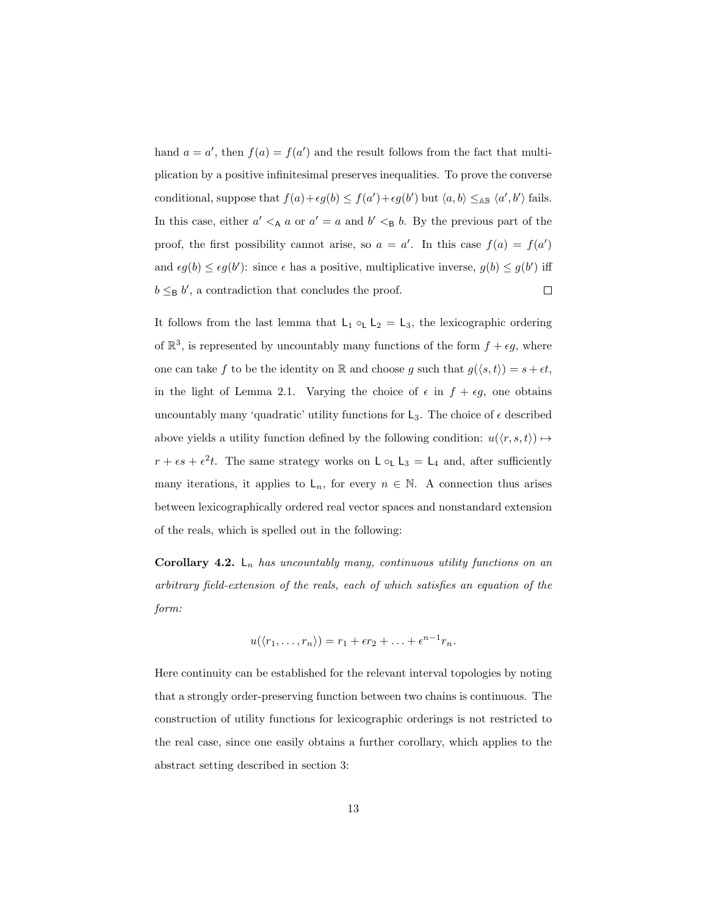hand  $a = a'$ , then  $f(a) = f(a')$  and the result follows from the fact that multiplication by a positive infinitesimal preserves inequalities. To prove the converse conditional, suppose that  $f(a)+\epsilon g(b) \leq f(a')+\epsilon g(b')$  but  $\langle a, b \rangle \leq_{AB} \langle a', b' \rangle$  fails. In this case, either  $a' <_{A} a$  or  $a' = a$  and  $b' <_{B} b$ . By the previous part of the proof, the first possibility cannot arise, so  $a = a'$ . In this case  $f(a) = f(a')$ and  $\epsilon g(b) \leq \epsilon g(b')$ : since  $\epsilon$  has a positive, multiplicative inverse,  $g(b) \leq g(b')$  iff  $b \leq_{\mathsf{B}} b'$ , a contradiction that concludes the proof.  $\Box$ 

It follows from the last lemma that  $L_1 \circ_L L_2 = L_3$ , the lexicographic ordering of  $\mathbb{R}^3$ , is represented by uncountably many functions of the form  $f + \epsilon g$ , where one can take  $f$  to be the identity on  $\mathbb R$  and choose  $g$  such that  $g(\langle s, t \rangle) = s + \epsilon t$ , in the light of Lemma 2.1. Varying the choice of  $\epsilon$  in  $f + \epsilon g$ , one obtains uncountably many 'quadratic' utility functions for  $L_3$ . The choice of  $\epsilon$  described above yields a utility function defined by the following condition:  $u(\langle r, s, t \rangle) \mapsto$  $r + \epsilon s + \epsilon^2 t$ . The same strategy works on  $\mathsf{L} \circ_{\mathsf{L}} \mathsf{L}_3 = \mathsf{L}_4$  and, after sufficiently many iterations, it applies to  $L_n$ , for every  $n \in \mathbb{N}$ . A connection thus arises between lexicographically ordered real vector spaces and nonstandard extension of the reals, which is spelled out in the following:

**Corollary 4.2.**  $\mathsf{L}_n$  has uncountably many, continuous utility functions on an arbitrary field-extension of the reals, each of which satisfies an equation of the form:

$$
u(\langle r_1,\ldots,r_n\rangle)=r_1+\epsilon r_2+\ldots+\epsilon^{n-1}r_n.
$$

Here continuity can be established for the relevant interval topologies by noting that a strongly order-preserving function between two chains is continuous. The construction of utility functions for lexicographic orderings is not restricted to the real case, since one easily obtains a further corollary, which applies to the abstract setting described in section 3: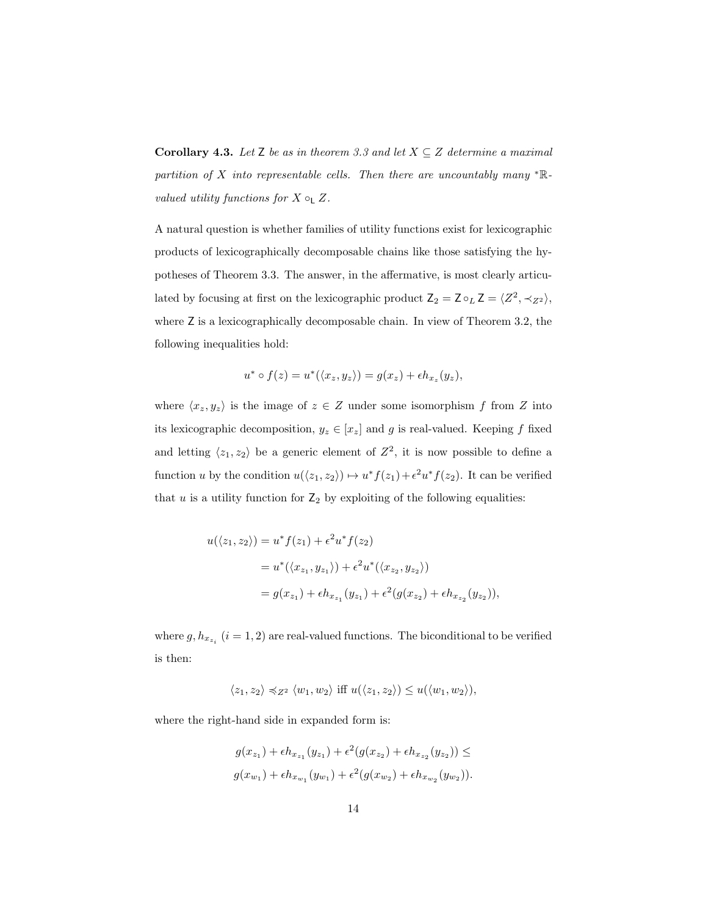**Corollary 4.3.** Let Z be as in theorem 3.3 and let  $X \subseteq Z$  determine a maximal partition of X into representable cells. Then there are uncountably many  $* \mathbb{R}$ valued utility functions for  $X \circ_{\mathsf{L}} Z$ .

A natural question is whether families of utility functions exist for lexicographic products of lexicographically decomposable chains like those satisfying the hypotheses of Theorem 3.3. The answer, in the affermative, is most clearly articulated by focusing at first on the lexicographic product  $Z_2 = Z \circ_L Z = \langle Z^2, \prec_{Z^2} \rangle$ , where  $Z$  is a lexicographically decomposable chain. In view of Theorem 3.2, the following inequalities hold:

$$
u^* \circ f(z) = u^*(\langle x_z, y_z \rangle) = g(x_z) + \epsilon h_{x_z}(y_z),
$$

where  $\langle x_z, y_z \rangle$  is the image of  $z \in Z$  under some isomorphism f from Z into its lexicographic decomposition,  $y_z \in [x_z]$  and g is real-valued. Keeping f fixed and letting  $\langle z_1, z_2 \rangle$  be a generic element of  $Z^2$ , it is now possible to define a function u by the condition  $u(\langle z_1, z_2 \rangle) \mapsto u^* f(z_1) + \epsilon^2 u^* f(z_2)$ . It can be verified that  $u$  is a utility function for  $\mathsf{Z}_2$  by exploiting of the following equalities:

$$
u(\langle z_1, z_2 \rangle) = u^* f(z_1) + \epsilon^2 u^* f(z_2)
$$
  
=  $u^* (\langle x_{z_1}, y_{z_1} \rangle) + \epsilon^2 u^* (\langle x_{z_2}, y_{z_2} \rangle)$   
=  $g(x_{z_1}) + \epsilon h_{x_{z_1}} (y_{z_1}) + \epsilon^2 (g(x_{z_2}) + \epsilon h_{x_{z_2}} (y_{z_2})),$ 

where  $g, h_{x_{z_i}}$   $(i = 1, 2)$  are real-valued functions. The biconditional to be verified is then:

$$
\langle z_1, z_2 \rangle \preccurlyeq_{Z^2} \langle w_1, w_2 \rangle \text{ iff } u(\langle z_1, z_2 \rangle) \leq u(\langle w_1, w_2 \rangle),
$$

where the right-hand side in expanded form is:

$$
g(x_{z_1}) + \epsilon h_{x_{z_1}}(y_{z_1}) + \epsilon^2 (g(x_{z_2}) + \epsilon h_{x_{z_2}}(y_{z_2})) \le
$$
  

$$
g(x_{w_1}) + \epsilon h_{x_{w_1}}(y_{w_1}) + \epsilon^2 (g(x_{w_2}) + \epsilon h_{x_{w_2}}(y_{w_2})).
$$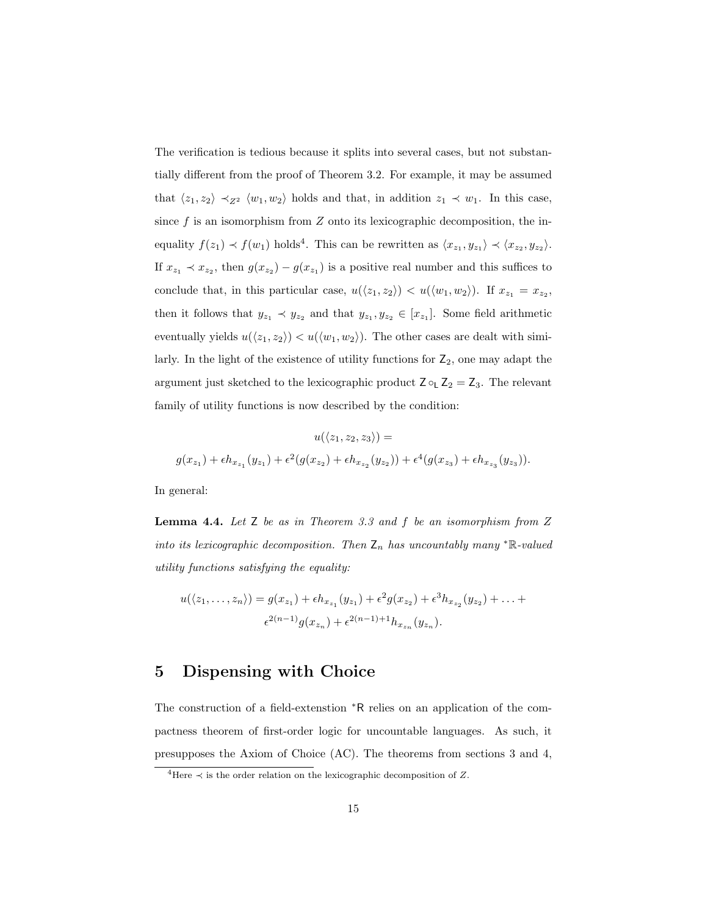The verification is tedious because it splits into several cases, but not substantially different from the proof of Theorem 3.2. For example, it may be assumed that  $\langle z_1, z_2 \rangle \prec_{Z^2} \langle w_1, w_2 \rangle$  holds and that, in addition  $z_1 \prec w_1$ . In this case, since  $f$  is an isomorphism from  $Z$  onto its lexicographic decomposition, the inequality  $f(z_1) \prec f(w_1)$  holds<sup>4</sup>. This can be rewritten as  $\langle x_{z_1}, y_{z_1} \rangle \prec \langle x_{z_2}, y_{z_2} \rangle$ . If  $x_{z_1} \prec x_{z_2}$ , then  $g(x_{z_2}) - g(x_{z_1})$  is a positive real number and this suffices to conclude that, in this particular case,  $u(\langle z_1, z_2 \rangle) < u(\langle w_1, w_2 \rangle)$ . If  $x_{z_1} = x_{z_2}$ , then it follows that  $y_{z_1} \prec y_{z_2}$  and that  $y_{z_1}, y_{z_2} \in [x_{z_1}]$ . Some field arithmetic eventually yields  $u(\langle z_1, z_2 \rangle) < u(\langle w_1, w_2 \rangle)$ . The other cases are dealt with similarly. In the light of the existence of utility functions for  $\mathsf{Z}_2$ , one may adapt the argument just sketched to the lexicographic product  $Z \circ_L Z_2 = Z_3$ . The relevant family of utility functions is now described by the condition:

$$
u(\langle z_1, z_2, z_3 \rangle) =
$$
  

$$
g(x_{z_1}) + \epsilon h_{x_{z_1}}(y_{z_1}) + \epsilon^2 (g(x_{z_2}) + \epsilon h_{x_{z_2}}(y_{z_2})) + \epsilon^4 (g(x_{z_3}) + \epsilon h_{x_{z_3}}(y_{z_3})).
$$

In general:

**Lemma 4.4.** Let  $Z$  be as in Theorem 3.3 and  $f$  be an isomorphism from  $Z$ into its lexicographic decomposition. Then  $Z_n$  has uncountably many \*R-valued utility functions satisfying the equality:

$$
u(\langle z_1,\ldots,z_n\rangle)=g(x_{z_1})+\epsilon h_{x_{z_1}}(y_{z_1})+\epsilon^2 g(x_{z_2})+\epsilon^3 h_{x_{z_2}}(y_{z_2})+\ldots+\epsilon^{2(n-1)}g(x_{z_n})+\epsilon^{2(n-1)+1}h_{x_{z_n}}(y_{z_n}).
$$

#### 5 Dispensing with Choice

The construction of a field-extenstion <sup>∗</sup>R relies on an application of the compactness theorem of first-order logic for uncountable languages. As such, it presupposes the Axiom of Choice (AC). The theorems from sections 3 and 4,

<sup>&</sup>lt;sup>4</sup>Here  $\prec$  is the order relation on the lexicographic decomposition of Z.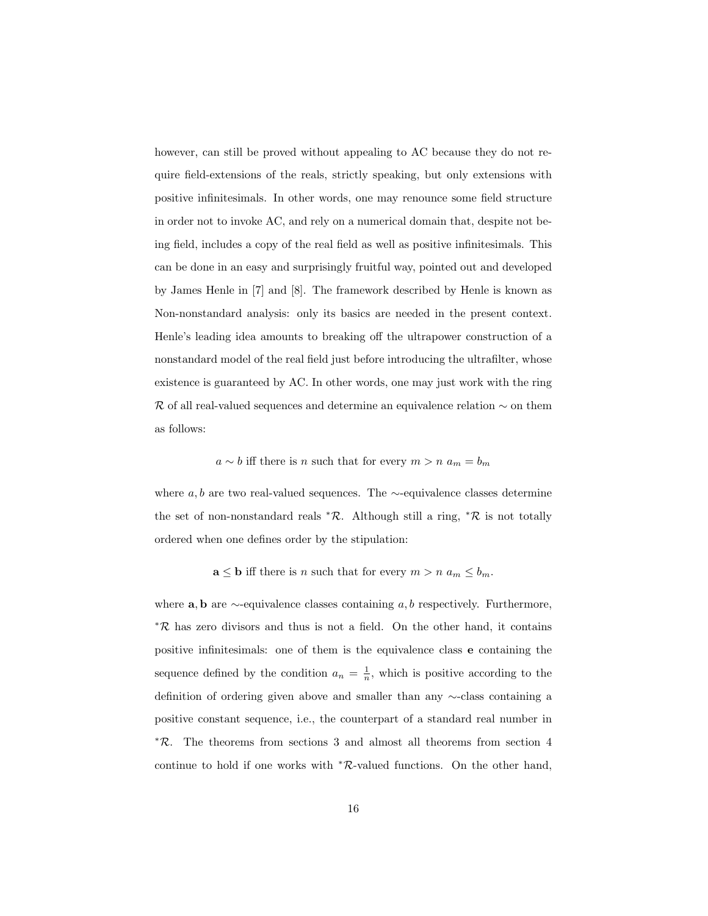however, can still be proved without appealing to AC because they do not require field-extensions of the reals, strictly speaking, but only extensions with positive infinitesimals. In other words, one may renounce some field structure in order not to invoke AC, and rely on a numerical domain that, despite not being field, includes a copy of the real field as well as positive infinitesimals. This can be done in an easy and surprisingly fruitful way, pointed out and developed by James Henle in [7] and [8]. The framework described by Henle is known as Non-nonstandard analysis: only its basics are needed in the present context. Henle's leading idea amounts to breaking off the ultrapower construction of a nonstandard model of the real field just before introducing the ultrafilter, whose existence is guaranteed by AC. In other words, one may just work with the ring R of all real-valued sequences and determine an equivalence relation ∼ on them as follows:

 $a \sim b$  iff there is n such that for every  $m > n$   $a_m = b_m$ 

where  $a, b$  are two real-valued sequences. The ∼-equivalence classes determine the set of non-nonstandard reals  $*R$ . Although still a ring,  $*R$  is not totally ordered when one defines order by the stipulation:

 $\mathbf{a} \leq \mathbf{b}$  iff there is *n* such that for every  $m > n$   $a_m \leq b_m$ .

where  $\mathbf{a}, \mathbf{b}$  are  $\sim$ -equivalence classes containing a, b respectively. Furthermore, <sup>∗</sup>R has zero divisors and thus is not a field. On the other hand, it contains positive infinitesimals: one of them is the equivalence class e containing the sequence defined by the condition  $a_n = \frac{1}{n}$ , which is positive according to the definition of ordering given above and smaller than any ∼-class containing a positive constant sequence, i.e., the counterpart of a standard real number in <sup>∗</sup>R. The theorems from sections 3 and almost all theorems from section 4 continue to hold if one works with <sup>∗</sup>R-valued functions. On the other hand,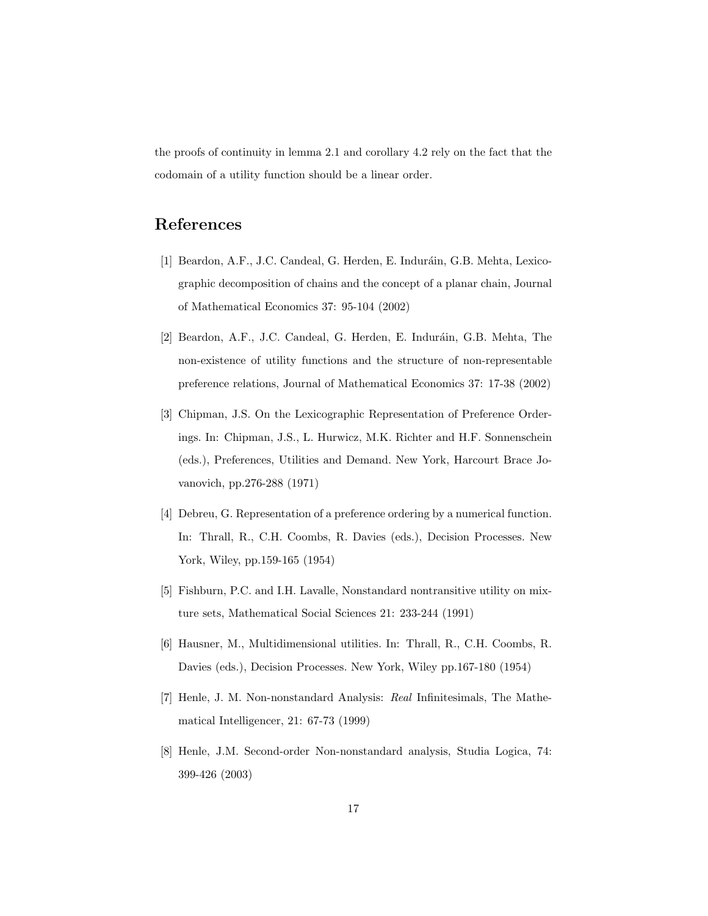the proofs of continuity in lemma 2.1 and corollary 4.2 rely on the fact that the codomain of a utility function should be a linear order.

# References

- [1] Beardon, A.F., J.C. Candeal, G. Herden, E. Induráin, G.B. Mehta, Lexicographic decomposition of chains and the concept of a planar chain, Journal of Mathematical Economics 37: 95-104 (2002)
- [2] Beardon, A.F., J.C. Candeal, G. Herden, E. Induráin, G.B. Mehta, The non-existence of utility functions and the structure of non-representable preference relations, Journal of Mathematical Economics 37: 17-38 (2002)
- [3] Chipman, J.S. On the Lexicographic Representation of Preference Orderings. In: Chipman, J.S., L. Hurwicz, M.K. Richter and H.F. Sonnenschein (eds.), Preferences, Utilities and Demand. New York, Harcourt Brace Jovanovich, pp.276-288 (1971)
- [4] Debreu, G. Representation of a preference ordering by a numerical function. In: Thrall, R., C.H. Coombs, R. Davies (eds.), Decision Processes. New York, Wiley, pp.159-165 (1954)
- [5] Fishburn, P.C. and I.H. Lavalle, Nonstandard nontransitive utility on mixture sets, Mathematical Social Sciences 21: 233-244 (1991)
- [6] Hausner, M., Multidimensional utilities. In: Thrall, R., C.H. Coombs, R. Davies (eds.), Decision Processes. New York, Wiley pp.167-180 (1954)
- [7] Henle, J. M. Non-nonstandard Analysis: Real Infinitesimals, The Mathematical Intelligencer, 21: 67-73 (1999)
- [8] Henle, J.M. Second-order Non-nonstandard analysis, Studia Logica, 74: 399-426 (2003)